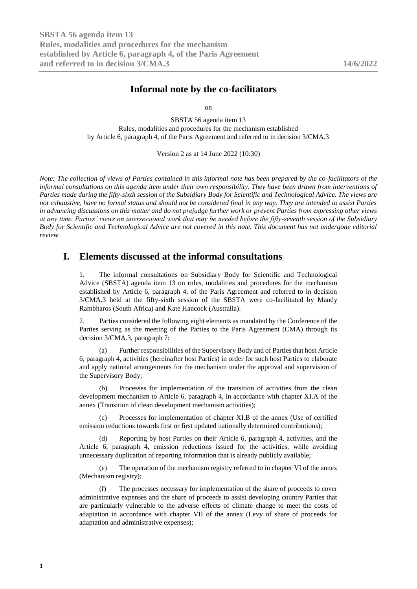# **Informal note by the co-facilitators**

on

SBSTA 56 agenda item 13 Rules, modalities and procedures for the mechanism established by Article 6, paragraph 4, of the Paris Agreement and referred to in decision 3/CMA.3

Version 2 as at 14 June 2022 (10:30)

*Note: The collection of views of Parties contained in this informal note has been prepared by the co-facilitators of the informal consultations on this agenda item under their own responsibility. They have been drawn from interventions of Parties made during the fifty-sixth session of the Subsidiary Body for Scientific and Technological Advice. The views are not exhaustive, have no formal status and should not be considered final in any way. They are intended to assist Parties in advancing discussions on this matter and do not prejudge further work or prevent Parties from expressing other views at any time. Parties' views on intersessional work that may be needed before the fifty-seventh session of the Subsidiary Body for Scientific and Technological Advice are not covered in this note. This document has not undergone editorial review.*

# **I. Elements discussed at the informal consultations**

1. The informal consultations on Subsidiary Body for Scientific and Technological Advice (SBSTA) agenda item 13 on rules, modalities and procedures for the mechanism established by Article 6, paragraph 4, of the Paris Agreement and referred to in decision 3/CMA.3 held at the fifty-sixth session of the SBSTA were co-facilitated by Mandy Rambharos (South Africa) and Kate Hancock (Australia).

2. Parties considered the following eight elements as mandated by the Conference of the Parties serving as the meeting of the Parties to the Paris Agreement (CMA) through its decision 3/CMA.3, paragraph 7:

(a) Further responsibilities of the Supervisory Body and of Parties that host Article 6, paragraph 4, activities (hereinafter host Parties) in order for such host Parties to elaborate and apply national arrangements for the mechanism under the approval and supervision of the Supervisory Body;

(b) Processes for implementation of the transition of activities from the clean development mechanism to Article 6, paragraph 4, in accordance with chapter XI.A of the annex (Transition of clean development mechanism activities);

(c) Processes for implementation of chapter XI.B of the annex (Use of certified emission reductions towards first or first updated nationally determined contributions);

(d) Reporting by host Parties on their Article 6, paragraph 4, activities, and the Article 6, paragraph 4, emission reductions issued for the activities, while avoiding unnecessary duplication of reporting information that is already publicly available;

(e) The operation of the mechanism registry referred to in chapter VI of the annex (Mechanism registry);

(f) The processes necessary for implementation of the share of proceeds to cover administrative expenses and the share of proceeds to assist developing country Parties that are particularly vulnerable to the adverse effects of climate change to meet the costs of adaptation in accordance with chapter VII of the annex (Levy of share of proceeds for adaptation and administrative expenses);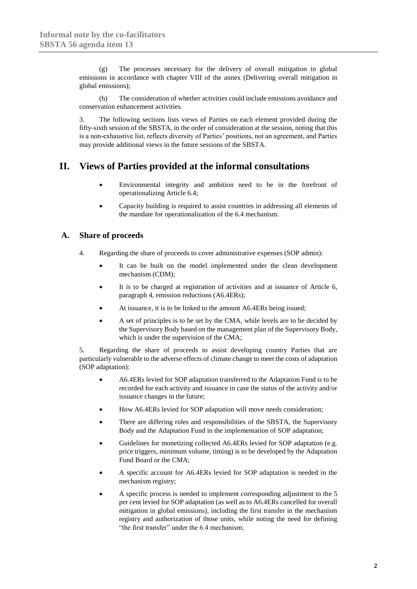(g) The processes necessary for the delivery of overall mitigation in global emissions in accordance with chapter VIII of the annex (Delivering overall mitigation in global emissions);

(h) The consideration of whether activities could include emissions avoidance and conservation enhancement activities.

3. The following sections lists views of Parties on each element provided during the fifty-sixth session of the SBSTA, in the order of consideration at the session, noting that this is a non-exhaustive list, reflects diversity of Parties' positions, not an agreement, and Parties may provide additional views in the future sessions of the SBSTA.

# **II. Views of Parties provided at the informal consultations**

- Environmental integrity and ambition need to be in the forefront of operationalizing Article 6.4;
- Capacity building is required to assist countries in addressing all elements of the mandate for operationalization of the 6.4 mechanism.

## **A. Share of proceeds**

- 4. Regarding the share of proceeds to cover administrative expenses (SOP admin):
	- It can be built on the model implemented under the clean development mechanism (CDM);
	- It is to be charged at registration of activities and at issuance of Article 6, paragraph 4, emission reductions (A6.4ERs);
	- At issuance, it is to be linked to the amount A6.4ERs being issued;
	- A set of principles is to be set by the CMA, while levels are to be decided by the Supervisory Body based on the management plan of the Supervisory Body, which is under the supervision of the CMA;

5. Regarding the share of proceeds to assist developing country Parties that are particularly vulnerable to the adverse effects of climate change to meet the costs of adaptation (SOP adaptation):

- A6.4ERs levied for SOP adaptation transferred to the Adaptation Fund is to be recorded for each activity and issuance in case the status of the activity and/or issuance changes in the future;
- How A6.4ERs levied for SOP adaptation will move needs consideration;
- There are differing roles and responsibilities of the SBSTA, the Supervisory Body and the Adaptation Fund in the implementation of SOP adaptation;
- Guidelines for monetizing collected A6.4ERs levied for SOP adaptation (e.g. price triggers, minimum volume, timing) is to be developed by the Adaptation Fund Board or the CMA;
- A specific account for A6.4ERs levied for SOP adaptation is needed in the mechanism registry;
- A specific process is needed to implement corresponding adjustment to the 5 per cent levied for SOP adaptation (as well as to A6.4ERs cancelled for overall mitigation in global emissions), including the first transfer in the mechanism registry and authorization of those units, while noting the need for defining "the first transfer" under the 6.4 mechanism;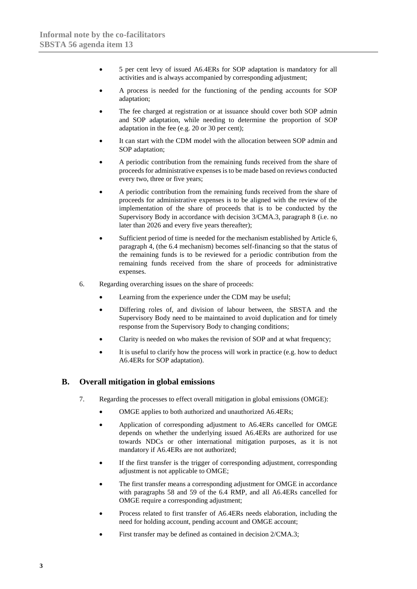- 5 per cent levy of issued A6.4ERs for SOP adaptation is mandatory for all activities and is always accompanied by corresponding adjustment;
- A process is needed for the functioning of the pending accounts for SOP adaptation;
- The fee charged at registration or at issuance should cover both SOP admin and SOP adaptation, while needing to determine the proportion of SOP adaptation in the fee (e.g. 20 or 30 per cent);
- It can start with the CDM model with the allocation between SOP admin and SOP adaptation;
- A periodic contribution from the remaining funds received from the share of proceeds for administrative expenses is to be made based on reviews conducted every two, three or five years;
- A periodic contribution from the remaining funds received from the share of proceeds for administrative expenses is to be aligned with the review of the implementation of the share of proceeds that is to be conducted by the Supervisory Body in accordance with decision 3/CMA.3, paragraph 8 (i.e. no later than 2026 and every five years thereafter);
- Sufficient period of time is needed for the mechanism established by Article 6, paragraph 4, (the 6.4 mechanism) becomes self-financing so that the status of the remaining funds is to be reviewed for a periodic contribution from the remaining funds received from the share of proceeds for administrative expenses.
- 6. Regarding overarching issues on the share of proceeds:
	- Learning from the experience under the CDM may be useful;
	- Differing roles of, and division of labour between, the SBSTA and the Supervisory Body need to be maintained to avoid duplication and for timely response from the Supervisory Body to changing conditions;
	- Clarity is needed on who makes the revision of SOP and at what frequency;
	- It is useful to clarify how the process will work in practice (e.g. how to deduct A6.4ERs for SOP adaptation).

#### **B. Overall mitigation in global emissions**

- 7. Regarding the processes to effect overall mitigation in global emissions (OMGE):
	- OMGE applies to both authorized and unauthorized A6.4ERs;
	- Application of corresponding adjustment to A6.4ERs cancelled for OMGE depends on whether the underlying issued A6.4ERs are authorized for use towards NDCs or other international mitigation purposes, as it is not mandatory if A6.4ERs are not authorized;
	- If the first transfer is the trigger of corresponding adjustment, corresponding adjustment is not applicable to OMGE;
	- The first transfer means a corresponding adjustment for OMGE in accordance with paragraphs 58 and 59 of the 6.4 RMP, and all A6.4ERs cancelled for OMGE require a corresponding adjustment;
	- Process related to first transfer of A6.4ERs needs elaboration, including the need for holding account, pending account and OMGE account;
	- First transfer may be defined as contained in decision 2/CMA.3: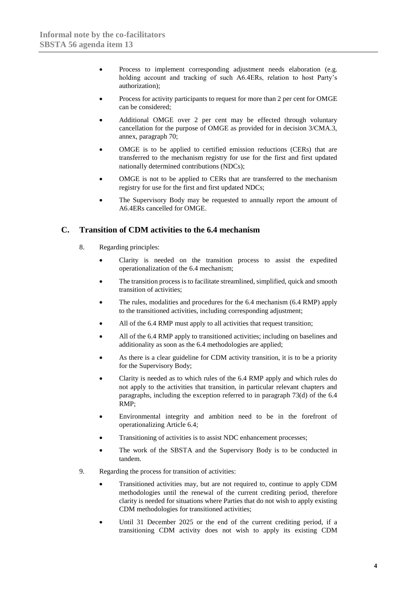- Process to implement corresponding adjustment needs elaboration (e.g. holding account and tracking of such A6.4ERs, relation to host Party's authorization);
- Process for activity participants to request for more than 2 per cent for OMGE can be considered;
- Additional OMGE over 2 per cent may be effected through voluntary cancellation for the purpose of OMGE as provided for in decision 3/CMA.3, annex, paragraph 70;
- OMGE is to be applied to certified emission reductions (CERs) that are transferred to the mechanism registry for use for the first and first updated nationally determined contributions (NDCs);
- OMGE is not to be applied to CERs that are transferred to the mechanism registry for use for the first and first updated NDCs;
- The Supervisory Body may be requested to annually report the amount of A6.4ERs cancelled for OMGE.

### **C. Transition of CDM activities to the 6.4 mechanism**

- 8. Regarding principles:
	- Clarity is needed on the transition process to assist the expedited operationalization of the 6.4 mechanism;
	- The transition process is to facilitate streamlined, simplified, quick and smooth transition of activities;
	- The rules, modalities and procedures for the 6.4 mechanism (6.4 RMP) apply to the transitioned activities, including corresponding adjustment;
	- All of the 6.4 RMP must apply to all activities that request transition;
	- All of the 6.4 RMP apply to transitioned activities; including on baselines and additionality as soon as the 6.4 methodologies are applied;
	- As there is a clear guideline for CDM activity transition, it is to be a priority for the Supervisory Body;
	- Clarity is needed as to which rules of the 6.4 RMP apply and which rules do not apply to the activities that transition, in particular relevant chapters and paragraphs, including the exception referred to in paragraph 73(d) of the 6.4 RMP;
	- Environmental integrity and ambition need to be in the forefront of operationalizing Article 6.4;
	- Transitioning of activities is to assist NDC enhancement processes;
	- The work of the SBSTA and the Supervisory Body is to be conducted in tandem.
- 9. Regarding the process for transition of activities:
	- Transitioned activities may, but are not required to, continue to apply CDM methodologies until the renewal of the current crediting period, therefore clarity is needed for situations where Parties that do not wish to apply existing CDM methodologies for transitioned activities;
	- Until 31 December 2025 or the end of the current crediting period, if a transitioning CDM activity does not wish to apply its existing CDM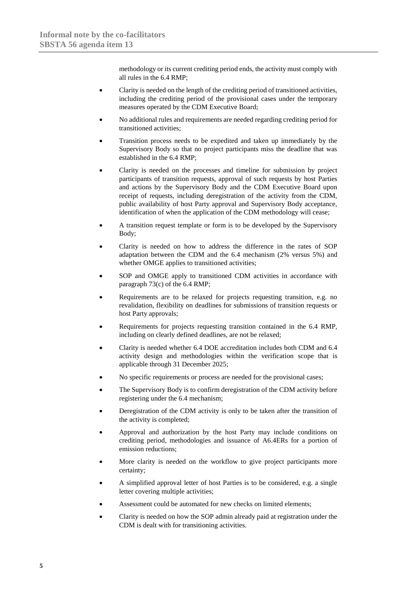methodology or its current crediting period ends, the activity must comply with all rules in the 6.4 RMP;

- Clarity is needed on the length of the crediting period of transitioned activities, including the crediting period of the provisional cases under the temporary measures operated by the CDM Executive Board;
- No additional rules and requirements are needed regarding crediting period for transitioned activities;
- Transition process needs to be expedited and taken up immediately by the Supervisory Body so that no project participants miss the deadline that was established in the 6.4 RMP;
- Clarity is needed on the processes and timeline for submission by project participants of transition requests, approval of such requests by host Parties and actions by the Supervisory Body and the CDM Executive Board upon receipt of requests, including deregistration of the activity from the CDM, public availability of host Party approval and Supervisory Body acceptance, identification of when the application of the CDM methodology will cease;
- A transition request template or form is to be developed by the Supervisory Body;
- Clarity is needed on how to address the difference in the rates of SOP adaptation between the CDM and the 6.4 mechanism (2% versus 5%) and whether OMGE applies to transitioned activities;
- SOP and OMGE apply to transitioned CDM activities in accordance with paragraph 73(c) of the 6.4 RMP;
- Requirements are to be relaxed for projects requesting transition, e.g. no revalidation, flexibility on deadlines for submissions of transition requests or host Party approvals;
- Requirements for projects requesting transition contained in the 6.4 RMP, including on clearly defined deadlines, are not be relaxed;
- Clarity is needed whether 6.4 DOE accreditation includes both CDM and 6.4 activity design and methodologies within the verification scope that is applicable through 31 December 2025;
- No specific requirements or process are needed for the provisional cases;
- The Supervisory Body is to confirm deregistration of the CDM activity before registering under the 6.4 mechanism;
- Deregistration of the CDM activity is only to be taken after the transition of the activity is completed;
- Approval and authorization by the host Party may include conditions on crediting period, methodologies and issuance of A6.4ERs for a portion of emission reductions;
- More clarity is needed on the workflow to give project participants more certainty;
- A simplified approval letter of host Parties is to be considered, e.g. a single letter covering multiple activities;
- Assessment could be automated for new checks on limited elements:
- Clarity is needed on how the SOP admin already paid at registration under the CDM is dealt with for transitioning activities.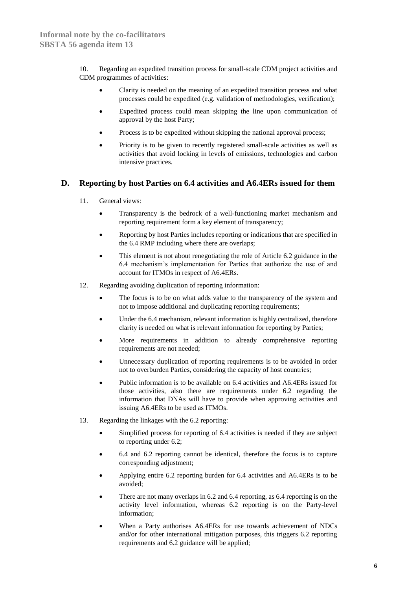10. Regarding an expedited transition process for small-scale CDM project activities and CDM programmes of activities:

- Clarity is needed on the meaning of an expedited transition process and what processes could be expedited (e.g. validation of methodologies, verification);
- Expedited process could mean skipping the line upon communication of approval by the host Party;
- Process is to be expedited without skipping the national approval process;
- Priority is to be given to recently registered small-scale activities as well as activities that avoid locking in levels of emissions, technologies and carbon intensive practices.

### **D. Reporting by host Parties on 6.4 activities and A6.4ERs issued for them**

- 11. General views:
	- Transparency is the bedrock of a well-functioning market mechanism and reporting requirement form a key element of transparency;
	- Reporting by host Parties includes reporting or indications that are specified in the 6.4 RMP including where there are overlaps;
	- This element is not about renegotiating the role of Article 6.2 guidance in the 6.4 mechanism's implementation for Parties that authorize the use of and account for ITMOs in respect of A6.4ERs.
- 12. Regarding avoiding duplication of reporting information:
	- The focus is to be on what adds value to the transparency of the system and not to impose additional and duplicating reporting requirements;
	- Under the 6.4 mechanism, relevant information is highly centralized, therefore clarity is needed on what is relevant information for reporting by Parties;
	- More requirements in addition to already comprehensive reporting requirements are not needed;
	- Unnecessary duplication of reporting requirements is to be avoided in order not to overburden Parties, considering the capacity of host countries;
	- Public information is to be available on 6.4 activities and A6.4ERs issued for those activities, also there are requirements under 6.2 regarding the information that DNAs will have to provide when approving activities and issuing A6.4ERs to be used as ITMOs.
- 13. Regarding the linkages with the 6.2 reporting:
	- Simplified process for reporting of 6.4 activities is needed if they are subject to reporting under 6.2;
	- 6.4 and 6.2 reporting cannot be identical, therefore the focus is to capture corresponding adjustment;
	- Applying entire 6.2 reporting burden for 6.4 activities and A6.4ERs is to be avoided;
	- There are not many overlaps in 6.2 and 6.4 reporting, as 6.4 reporting is on the activity level information, whereas 6.2 reporting is on the Party-level information;
	- When a Party authorises A6.4ERs for use towards achievement of NDCs and/or for other international mitigation purposes, this triggers 6.2 reporting requirements and 6.2 guidance will be applied;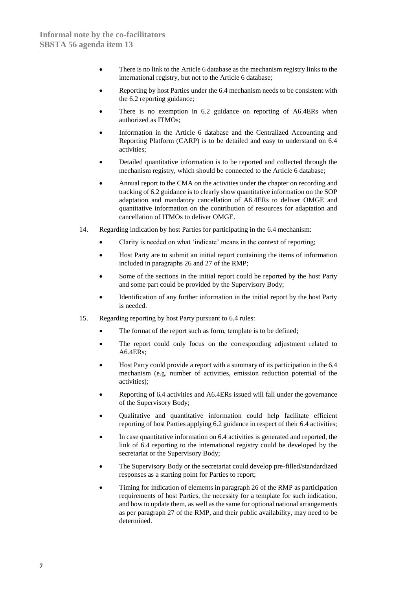- There is no link to the Article 6 database as the mechanism registry links to the international registry, but not to the Article 6 database;
- Reporting by host Parties under the 6.4 mechanism needs to be consistent with the 6.2 reporting guidance;
- There is no exemption in 6.2 guidance on reporting of A6.4ERs when authorized as ITMOs;
- Information in the Article 6 database and the Centralized Accounting and Reporting Platform (CARP) is to be detailed and easy to understand on 6.4 activities;
- Detailed quantitative information is to be reported and collected through the mechanism registry, which should be connected to the Article 6 database;
- Annual report to the CMA on the activities under the chapter on recording and tracking of 6.2 guidance is to clearly show quantitative information on the SOP adaptation and mandatory cancellation of A6.4ERs to deliver OMGE and quantitative information on the contribution of resources for adaptation and cancellation of ITMOs to deliver OMGE.
- 14. Regarding indication by host Parties for participating in the 6.4 mechanism:
	- Clarity is needed on what 'indicate' means in the context of reporting:
	- Host Party are to submit an initial report containing the items of information included in paragraphs 26 and 27 of the RMP;
	- Some of the sections in the initial report could be reported by the host Party and some part could be provided by the Supervisory Body;
	- Identification of any further information in the initial report by the host Party is needed.
- 15. Regarding reporting by host Party pursuant to 6.4 rules:
	- The format of the report such as form, template is to be defined;
	- The report could only focus on the corresponding adjustment related to A6.4ERs;
	- Host Party could provide a report with a summary of its participation in the 6.4 mechanism (e.g. number of activities, emission reduction potential of the activities);
	- Reporting of 6.4 activities and A6.4ERs issued will fall under the governance of the Supervisory Body;
	- Qualitative and quantitative information could help facilitate efficient reporting of host Parties applying 6.2 guidance in respect of their 6.4 activities;
	- In case quantitative information on 6.4 activities is generated and reported, the link of 6.4 reporting to the international registry could be developed by the secretariat or the Supervisory Body;
	- The Supervisory Body or the secretariat could develop pre-filled/standardized responses as a starting point for Parties to report;
	- Timing for indication of elements in paragraph 26 of the RMP as participation requirements of host Parties, the necessity for a template for such indication, and how to update them, as well as the same for optional national arrangements as per paragraph 27 of the RMP, and their public availability, may need to be determined.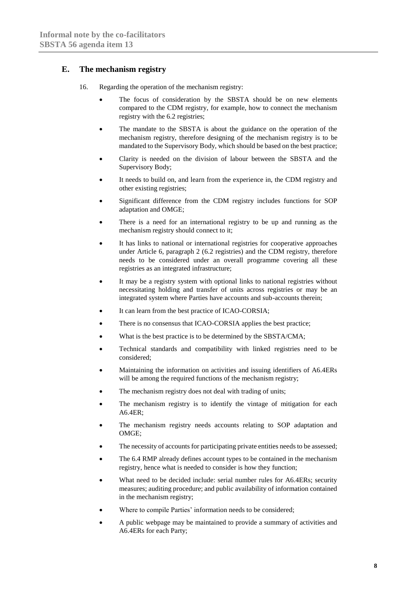### **E. The mechanism registry**

- 16. Regarding the operation of the mechanism registry:
	- The focus of consideration by the SBSTA should be on new elements compared to the CDM registry, for example, how to connect the mechanism registry with the 6.2 registries;
	- The mandate to the SBSTA is about the guidance on the operation of the mechanism registry, therefore designing of the mechanism registry is to be mandated to the Supervisory Body, which should be based on the best practice;
	- Clarity is needed on the division of labour between the SBSTA and the Supervisory Body;
	- It needs to build on, and learn from the experience in, the CDM registry and other existing registries;
	- Significant difference from the CDM registry includes functions for SOP adaptation and OMGE;
	- There is a need for an international registry to be up and running as the mechanism registry should connect to it;
	- It has links to national or international registries for cooperative approaches under Article 6, paragraph 2 (6.2 registries) and the CDM registry, therefore needs to be considered under an overall programme covering all these registries as an integrated infrastructure;
	- It may be a registry system with optional links to national registries without necessitating holding and transfer of units across registries or may be an integrated system where Parties have accounts and sub-accounts therein;
	- It can learn from the best practice of ICAO-CORSIA;
	- There is no consensus that ICAO-CORSIA applies the best practice;
	- What is the best practice is to be determined by the SBSTA/CMA;
	- Technical standards and compatibility with linked registries need to be considered;
	- Maintaining the information on activities and issuing identifiers of A6.4ERs will be among the required functions of the mechanism registry;
	- The mechanism registry does not deal with trading of units;
	- The mechanism registry is to identify the vintage of mitigation for each A6.4ER;
	- The mechanism registry needs accounts relating to SOP adaptation and OMGE;
	- The necessity of accounts for participating private entities needs to be assessed;
	- The 6.4 RMP already defines account types to be contained in the mechanism registry, hence what is needed to consider is how they function;
	- What need to be decided include: serial number rules for A6.4ERs; security measures; auditing procedure; and public availability of information contained in the mechanism registry;
	- Where to compile Parties' information needs to be considered:
	- A public webpage may be maintained to provide a summary of activities and A6.4ERs for each Party;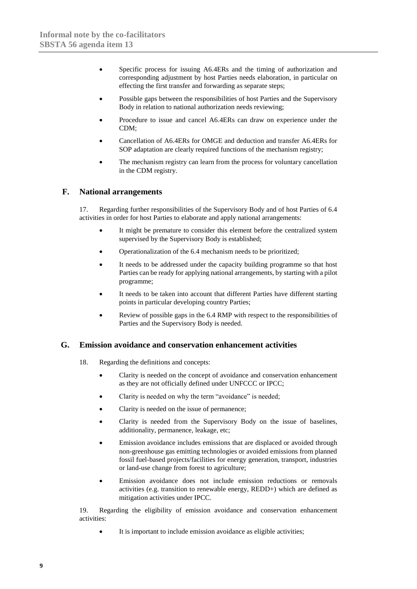- Specific process for issuing A6.4ERs and the timing of authorization and corresponding adjustment by host Parties needs elaboration, in particular on effecting the first transfer and forwarding as separate steps;
- Possible gaps between the responsibilities of host Parties and the Supervisory Body in relation to national authorization needs reviewing;
- Procedure to issue and cancel A6.4ERs can draw on experience under the CDM;
- Cancellation of A6.4ERs for OMGE and deduction and transfer A6.4ERs for SOP adaptation are clearly required functions of the mechanism registry;
- The mechanism registry can learn from the process for voluntary cancellation in the CDM registry.

### **F. National arrangements**

17. Regarding further responsibilities of the Supervisory Body and of host Parties of 6.4 activities in order for host Parties to elaborate and apply national arrangements:

- It might be premature to consider this element before the centralized system supervised by the Supervisory Body is established;
- Operationalization of the 6.4 mechanism needs to be prioritized;
- It needs to be addressed under the capacity building programme so that host Parties can be ready for applying national arrangements, by starting with a pilot programme;
- It needs to be taken into account that different Parties have different starting points in particular developing country Parties;
- Review of possible gaps in the 6.4 RMP with respect to the responsibilities of Parties and the Supervisory Body is needed.

#### **G. Emission avoidance and conservation enhancement activities**

- 18. Regarding the definitions and concepts:
	- Clarity is needed on the concept of avoidance and conservation enhancement as they are not officially defined under UNFCCC or IPCC;
	- Clarity is needed on why the term "avoidance" is needed;
	- Clarity is needed on the issue of permanence;
	- Clarity is needed from the Supervisory Body on the issue of baselines, additionality, permanence, leakage, etc;
	- Emission avoidance includes emissions that are displaced or avoided through non-greenhouse gas emitting technologies or avoided emissions from planned fossil fuel-based projects/facilities for energy generation, transport, industries or land-use change from forest to agriculture;
	- Emission avoidance does not include emission reductions or removals activities (e.g. transition to renewable energy, REDD+) which are defined as mitigation activities under IPCC.

19. Regarding the eligibility of emission avoidance and conservation enhancement activities:

• It is important to include emission avoidance as eligible activities;